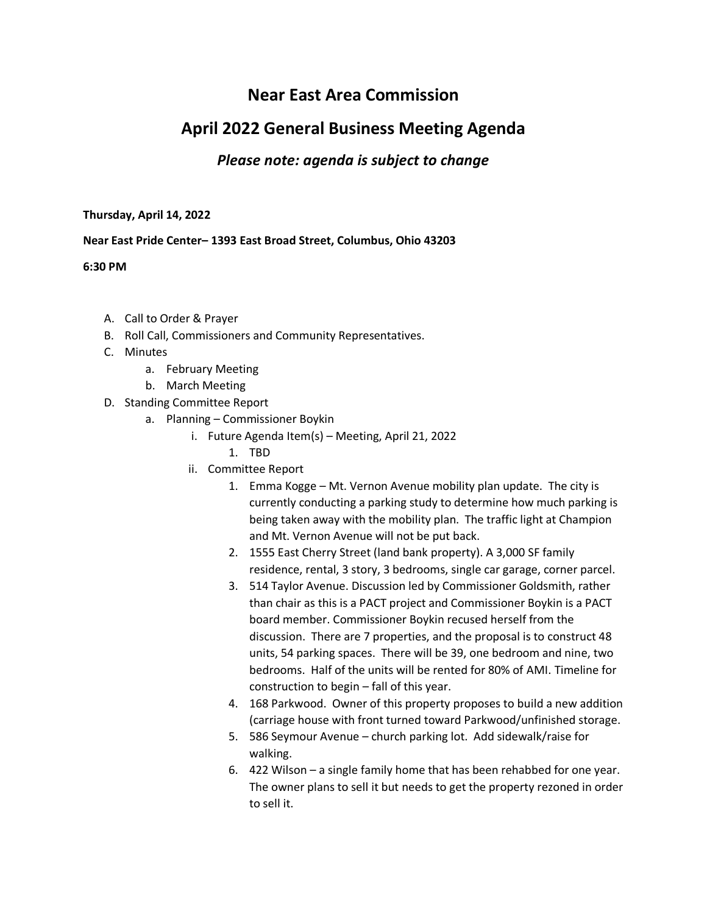# **Near East Area Commission**

# **April 2022 General Business Meeting Agenda**

## *Please note: agenda is subject to change*

#### **Thursday, April 14, 2022**

### **Near East Pride Center– 1393 East Broad Street, Columbus, Ohio 43203**

### **6:30 PM**

- A. Call to Order & Prayer
- B. Roll Call, Commissioners and Community Representatives.
- C. Minutes
	- a. February Meeting
	- b. March Meeting
- D. Standing Committee Report
	- a. Planning Commissioner Boykin
		- i. Future Agenda Item(s) Meeting, April 21, 2022
			- 1. TBD
		- ii. Committee Report
			- 1. Emma Kogge Mt. Vernon Avenue mobility plan update. The city is currently conducting a parking study to determine how much parking is being taken away with the mobility plan. The traffic light at Champion and Mt. Vernon Avenue will not be put back.
			- 2. 1555 East Cherry Street (land bank property). A 3,000 SF family residence, rental, 3 story, 3 bedrooms, single car garage, corner parcel.
			- 3. 514 Taylor Avenue. Discussion led by Commissioner Goldsmith, rather than chair as this is a PACT project and Commissioner Boykin is a PACT board member. Commissioner Boykin recused herself from the discussion. There are 7 properties, and the proposal is to construct 48 units, 54 parking spaces. There will be 39, one bedroom and nine, two bedrooms. Half of the units will be rented for 80% of AMI. Timeline for construction to begin – fall of this year.
			- 4. 168 Parkwood. Owner of this property proposes to build a new addition (carriage house with front turned toward Parkwood/unfinished storage.
			- 5. 586 Seymour Avenue church parking lot. Add sidewalk/raise for walking.
			- 6. 422 Wilson a single family home that has been rehabbed for one year. The owner plans to sell it but needs to get the property rezoned in order to sell it.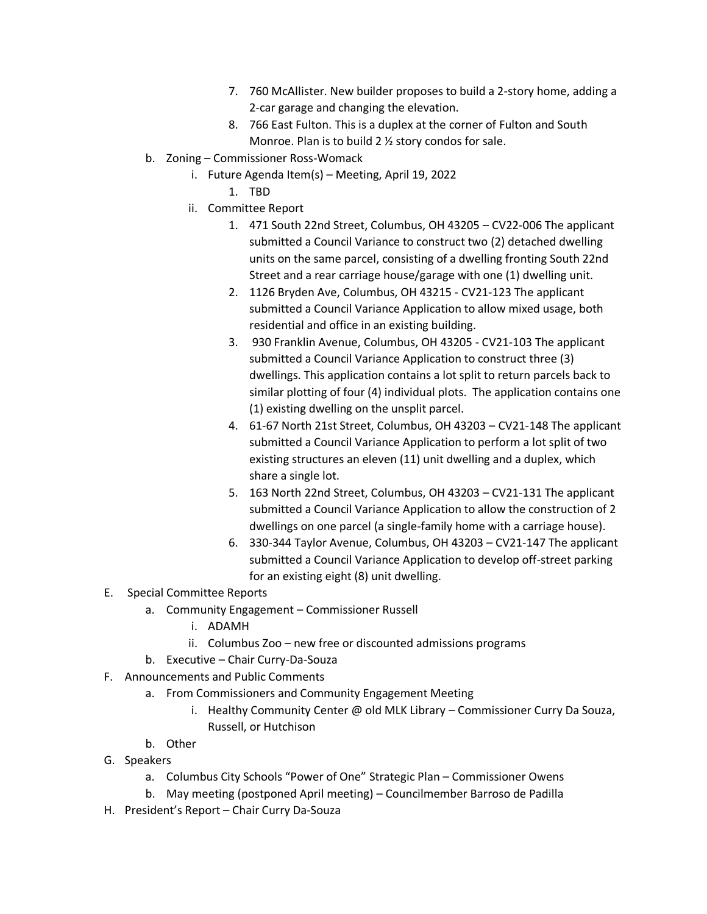- 7. 760 McAllister. New builder proposes to build a 2-story home, adding a 2-car garage and changing the elevation.
- 8. 766 East Fulton. This is a duplex at the corner of Fulton and South Monroe. Plan is to build 2 ½ story condos for sale.
- b. Zoning Commissioner Ross-Womack
	- i. Future Agenda Item(s) Meeting, April 19, 2022
		- 1. TBD
	- ii. Committee Report
		- 1. 471 South 22nd Street, Columbus, OH 43205 CV22-006 The applicant submitted a Council Variance to construct two (2) detached dwelling units on the same parcel, consisting of a dwelling fronting South 22nd Street and a rear carriage house/garage with one (1) dwelling unit.
		- 2. 1126 Bryden Ave, Columbus, OH 43215 CV21-123 The applicant submitted a Council Variance Application to allow mixed usage, both residential and office in an existing building.
		- 3. 930 Franklin Avenue, Columbus, OH 43205 CV21-103 The applicant submitted a Council Variance Application to construct three (3) dwellings. This application contains a lot split to return parcels back to similar plotting of four (4) individual plots. The application contains one (1) existing dwelling on the unsplit parcel.
		- 4. 61-67 North 21st Street, Columbus, OH 43203 CV21-148 The applicant submitted a Council Variance Application to perform a lot split of two existing structures an eleven (11) unit dwelling and a duplex, which share a single lot.
		- 5. 163 North 22nd Street, Columbus, OH 43203 CV21-131 The applicant submitted a Council Variance Application to allow the construction of 2 dwellings on one parcel (a single-family home with a carriage house).
		- 6. 330-344 Taylor Avenue, Columbus, OH 43203 CV21-147 The applicant submitted a Council Variance Application to develop off-street parking for an existing eight (8) unit dwelling.
- E. Special Committee Reports
	- a. Community Engagement Commissioner Russell
		- i. ADAMH
		- ii. Columbus Zoo new free or discounted admissions programs
	- b. Executive Chair Curry-Da-Souza
- F. Announcements and Public Comments
	- a. From Commissioners and Community Engagement Meeting
		- i. Healthy Community Center @ old MLK Library Commissioner Curry Da Souza, Russell, or Hutchison
	- b. Other
- G. Speakers
	- a. Columbus City Schools "Power of One" Strategic Plan Commissioner Owens
	- b. May meeting (postponed April meeting) Councilmember Barroso de Padilla
- H. President's Report Chair Curry Da-Souza